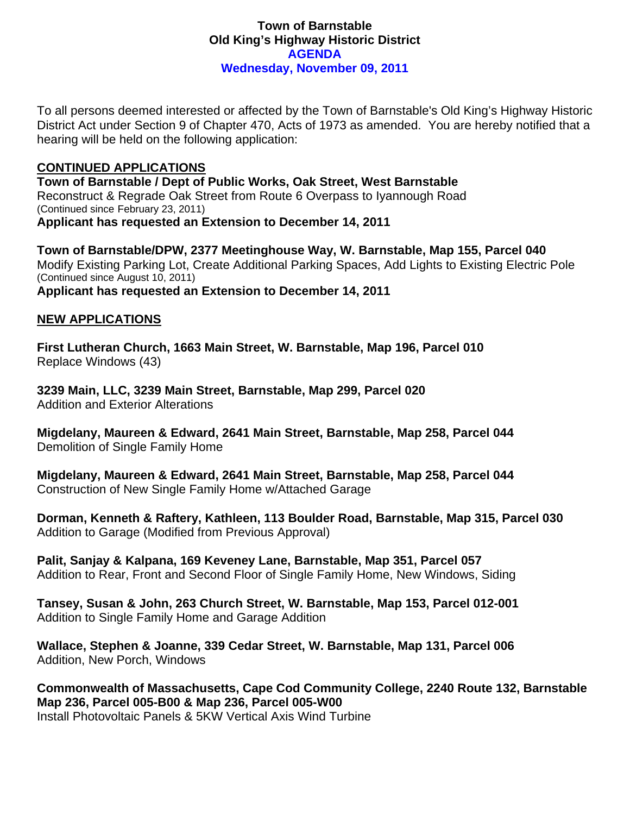# **Town of Barnstable Old King's Highway Historic District AGENDA Wednesday, November 09, 2011**

To all persons deemed interested or affected by the Town of Barnstable's Old King's Highway Historic District Act under Section 9 of Chapter 470, Acts of 1973 as amended. You are hereby notified that a hearing will be held on the following application:

## **CONTINUED APPLICATIONS**

**Town of Barnstable / Dept of Public Works, Oak Street, West Barnstable**  Reconstruct & Regrade Oak Street from Route 6 Overpass to Iyannough Road (Continued since February 23, 2011) **Applicant has requested an Extension to December 14, 2011** 

**Town of Barnstable/DPW, 2377 Meetinghouse Way, W. Barnstable, Map 155, Parcel 040**  Modify Existing Parking Lot, Create Additional Parking Spaces, Add Lights to Existing Electric Pole (Continued since August 10, 2011) **Applicant has requested an Extension to December 14, 2011** 

# **NEW APPLICATIONS**

**First Lutheran Church, 1663 Main Street, W. Barnstable, Map 196, Parcel 010**  Replace Windows (43)

**3239 Main, LLC, 3239 Main Street, Barnstable, Map 299, Parcel 020**  Addition and Exterior Alterations

**Migdelany, Maureen & Edward, 2641 Main Street, Barnstable, Map 258, Parcel 044**  Demolition of Single Family Home

**Migdelany, Maureen & Edward, 2641 Main Street, Barnstable, Map 258, Parcel 044**  Construction of New Single Family Home w/Attached Garage

**Dorman, Kenneth & Raftery, Kathleen, 113 Boulder Road, Barnstable, Map 315, Parcel 030**  Addition to Garage (Modified from Previous Approval)

**Palit, Sanjay & Kalpana, 169 Keveney Lane, Barnstable, Map 351, Parcel 057**  Addition to Rear, Front and Second Floor of Single Family Home, New Windows, Siding

**Tansey, Susan & John, 263 Church Street, W. Barnstable, Map 153, Parcel 012-001**  Addition to Single Family Home and Garage Addition

**Wallace, Stephen & Joanne, 339 Cedar Street, W. Barnstable, Map 131, Parcel 006**  Addition, New Porch, Windows

**Commonwealth of Massachusetts, Cape Cod Community College, 2240 Route 132, Barnstable Map 236, Parcel 005-B00 & Map 236, Parcel 005-W00**  Install Photovoltaic Panels & 5KW Vertical Axis Wind Turbine